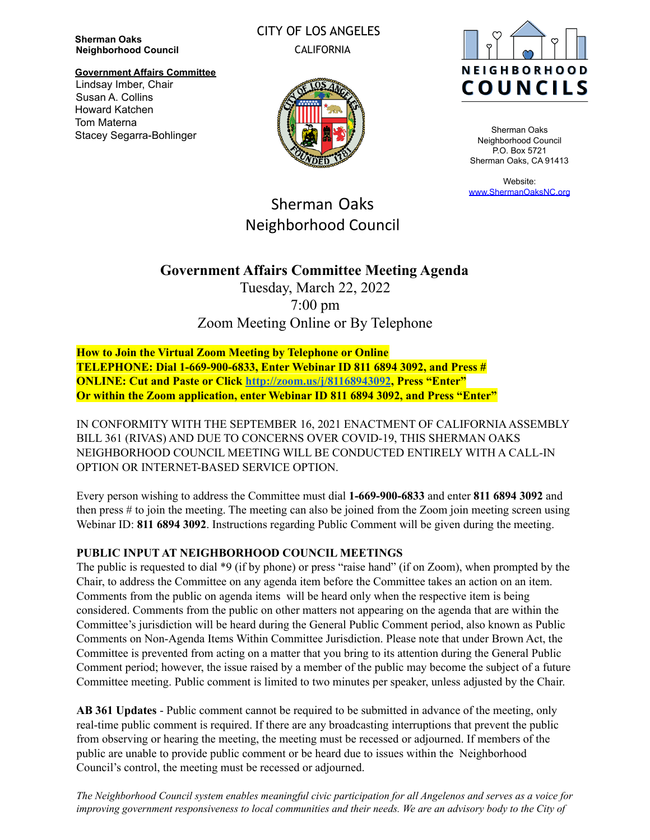**Sherman Oaks Neighborhood Council**

## CITY OF LOS ANGELES CALIFORNIA

**Government Affairs Committee** Lindsay Imber, Chair Susan A. Collins Howard Katchen Tom Materna Stacey Segarra-Bohlinger



Sherman Oaks Neighborhood Council P.O. Box 5721 Sherman Oaks, CA 91413

Website: [www.ShermanOaksNC.org](http://www.shermanoaksnc.org)

Sherman Oaks Neighborhood Council

# **Government Affairs Committee Meeting Agenda**

Tuesday, March 22, 2022 7:00 pm Zoom Meeting Online or By Telephone

**How to Join the Virtual Zoom Meeting by Telephone or Online TELEPHONE: Dial 1-669-900-6833, Enter Webinar ID 811 6894 3092, and Press # ONLINE: Cut and Paste or Click <http://zoom.us/j/81168943092>, Press "Enter" Or within the Zoom application, enter Webinar ID 811 6894 3092, and Press "Enter"**

IN CONFORMITY WITH THE SEPTEMBER 16, 2021 ENACTMENT OF CALIFORNIAASSEMBLY BILL 361 (RIVAS) AND DUE TO CONCERNS OVER COVID-19, THIS SHERMAN OAKS NEIGHBORHOOD COUNCIL MEETING WILL BE CONDUCTED ENTIRELY WITH A CALL-IN OPTION OR INTERNET-BASED SERVICE OPTION.

Every person wishing to address the Committee must dial **1-669-900-6833** and enter **811 6894 3092** and then press # to join the meeting. The meeting can also be joined from the Zoom join meeting screen using Webinar ID: **811 6894 3092**. Instructions regarding Public Comment will be given during the meeting.

#### **PUBLIC INPUT AT NEIGHBORHOOD COUNCIL MEETINGS**

The public is requested to dial \*9 (if by phone) or press "raise hand" (if on Zoom), when prompted by the Chair, to address the Committee on any agenda item before the Committee takes an action on an item. Comments from the public on agenda items will be heard only when the respective item is being considered. Comments from the public on other matters not appearing on the agenda that are within the Committee's jurisdiction will be heard during the General Public Comment period, also known as Public Comments on Non-Agenda Items Within Committee Jurisdiction. Please note that under Brown Act, the Committee is prevented from acting on a matter that you bring to its attention during the General Public Comment period; however, the issue raised by a member of the public may become the subject of a future Committee meeting. Public comment is limited to two minutes per speaker, unless adjusted by the Chair.

**AB 361 Updates** - Public comment cannot be required to be submitted in advance of the meeting, only real-time public comment is required. If there are any broadcasting interruptions that prevent the public from observing or hearing the meeting, the meeting must be recessed or adjourned. If members of the public are unable to provide public comment or be heard due to issues within the Neighborhood Council's control, the meeting must be recessed or adjourned.

The Neighborhood Council system enables meaningful civic participation for all Angelenos and serves as a voice for improving government responsiveness to local communities and their needs. We are an advisory body to the City of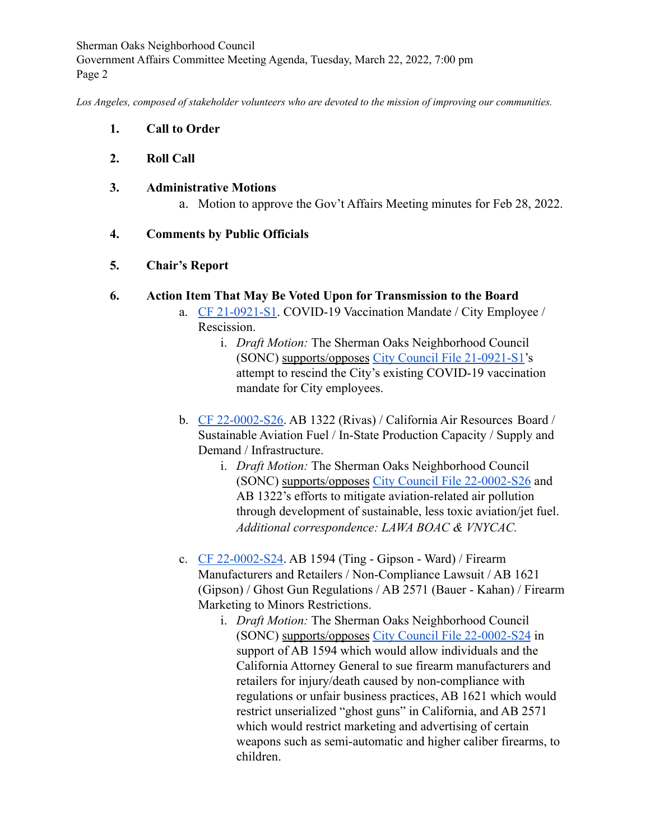Sherman Oaks Neighborhood Council Government Affairs Committee Meeting Agenda, Tuesday, March 22, 2022, 7:00 pm Page 2

*Los Angeles, composed of stakeholder volunteers who are devoted to the mission of improving our communities.*

- **1. Call to Order**
- **2. Roll Call**
- **3. Administrative Motions**
	- a. Motion to approve the Gov't Affairs Meeting minutes for Feb 28, 2022.

## **4. Comments by Public Officials**

## **5. Chair's Report**

## **6. Action Item That May Be Voted Upon for Transmission to the Board**

- a. [CF 21-0921-S1](https://cityclerk.lacity.org/lacityclerkconnect/index.cfm?fa=ccfi.viewrecord&cfnumber=21-0921-S1). COVID-19 Vaccination Mandate / City Employee / Rescission.
	- i. *Draft Motion:* The Sherman Oaks Neighborhood Council (SONC) supports/opposes [City Council File 21-0921-S1](https://cityclerk.lacity.org/lacityclerkconnect/index.cfm?fa=ccfi.viewrecord&cfnumber=21-0921-S1)'s attempt to rescind the City's existing COVID-19 vaccination mandate for City employees.
- b. [CF 22-0002-S26](https://cityclerk.lacity.org/lacityclerkconnect/index.cfm?fa=ccfi.viewrecord&cfnumber=22-0002-S26). AB 1322 (Rivas) / California Air Resources Board / Sustainable Aviation Fuel / In-State Production Capacity / Supply and Demand / Infrastructure.
	- i. *Draft Motion:* The Sherman Oaks Neighborhood Council (SONC) supports/opposes [City Council File 22-0002-S26](https://cityclerk.lacity.org/lacityclerkconnect/index.cfm?fa=ccfi.viewrecord&cfnumber=22-0002-S26) and AB 1322's efforts to mitigate aviation-related air pollution through development of sustainable, less toxic aviation/jet fuel. *Additional correspondence: LAWA BOAC & VNYCAC.*
- c. [CF 22-0002-S24](https://cityclerk.lacity.org/lacityclerkconnect/index.cfm?fa=ccfi.viewrecord&cfnumber=22-0002-S24). AB 1594 (Ting Gipson Ward) / Firearm Manufacturers and Retailers / Non-Compliance Lawsuit / AB 1621 (Gipson) / Ghost Gun Regulations / AB 2571 (Bauer - Kahan) / Firearm Marketing to Minors Restrictions.
	- i. *Draft Motion:* The Sherman Oaks Neighborhood Council (SONC) supports/opposes [City Council File 22-0002-S24](https://cityclerk.lacity.org/lacityclerkconnect/index.cfm?fa=ccfi.viewrecord&cfnumber=22-0002-S24) in support of AB 1594 which would allow individuals and the California Attorney General to sue firearm manufacturers and retailers for injury/death caused by non-compliance with regulations or unfair business practices, AB 1621 which would restrict unserialized "ghost guns" in California, and AB 2571 which would restrict marketing and advertising of certain weapons such as semi-automatic and higher caliber firearms, to children.